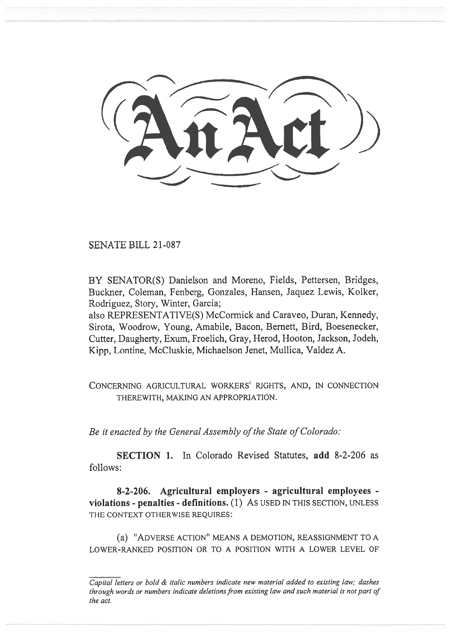SENATE BILL 21-087

BY SENATOR(S) Danielson and Moreno, Fields, Pettersen, Bridges, Buckner, Coleman, Fenberg, Gonzales, Hansen, Jaquez Lewis, Kolker, Rodriguez, Story, Winter, Garcia;

also REPRESENTATIVE(S) McCormick and Caraveo, Duran, Kennedy, Sirota, Woodrow, Young, Amabile, Bacon, Bernett, Bird, Boesenecker, Cutter, Daugherty, Exum, Froelich, Gray, Herod, Hooton, Jackson, Jodeh, Kipp, Lontine, McCluskie, Michaelson Jenet, Mullica, Valdez A.

CONCERNING AGRICULTURAL WORKERS' RIGHTS, AND, IN CONNECTION THEREWITH, MAKING AN APPROPRIATION.

Be it enacted by the General Assembly of the State of Colorado:

SECTION 1. In Colorado Revised Statutes, add 8-2-206 as follows:

8-2-206. Agricultural employers - agricultural employees violations - penalties - definitions. (1) AS USED IN THIS SECTION, UNLESS THE CONTEXT OTHERWISE REQUIRES:

(a) "ADVERSE ACTION" MEANS A DEMOTION, REASSIGNMENT TO A LOWER-RANKED POSITION OR TO A POSITION WITH A LOWER LEVEL OF

Capital letters or bold & italic numbers indicate new material added to existing law; dashes through words or numbers indicate deletions from existing law and such material is not part of the act.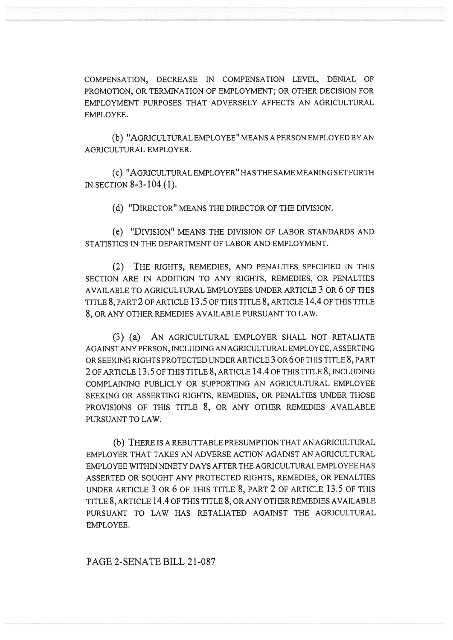COMPENSATION, DECREASE IN COMPENSATION LEVEL, DENIAL OF PROMOTION, OR TERMINATION OF EMPLOYMENT; OR OTHER DECISION FOR EMPLOYMENT PURPOSES THAT ADVERSELY AFFECTS AN AGRICULTURAL EMPLOYEE.

(b) "AGRICULTURAL EMPLOYEE" MEANS A PERSON EMPLOYED BY AN AGRICULTURAL EMPLOYER.

(c) "AGRICULTURAL EMPLOYER" HAS THE SAME MEANING SET FORTH IN SECTION 8-3-104 (1).

(d) "DIRECTOR" MEANS THE DIRECTOR OF THE DIVISION.

(e) "DIVISION" MEANS THE DIVISION OF LABOR STANDARDS AND STATISTICS IN THE DEPARTMENT OF LABOR AND EMPLOYMENT.

(2) THE RIGHTS, REMEDIES, AND PENALTIES SPECIFIED IN THIS SECTION ARE IN ADDITION TO ANY RIGHTS, REMEDIES, OR PENALTIES AVAILABLE TO AGRICULTURAL EMPLOYEES UNDER ARTICLE 3 OR 6 OF THIS TITLE 8, PART 2 OF ARTICLE 13.5 OF THIS TITLE 8, ARTICLE 14.4 OF THIS TITLE 8, OR ANY OTHER REMEDIES AVAILABLE PURSUANT TO LAW.

(3) (a) AN AGRICULTURAL EMPLOYER SHALL NOT RETALIATE AGAINST ANY PERSON, INCLUDING AN AGRICULTURAL EMPLOYEE, ASSERTING OR SEEKING RIGHTS PROTECTED UNDER ARTICLE 3 OR 6 OF THIS TITLE 8, PART 2 OF ARTICLE 13.5 OF THIS TITLE 8, ARTICLE 14.4 OF THIS TITLE 8, INCLUDING COMPLAINING PUBLICLY OR SUPPORTING AN AGRICULTURAL EMPLOYEE SEEKING OR ASSERTING RIGHTS, REMEDIES, OR PENALTIES UNDER THOSE PROVISIONS OF THIS TITLE 8, OR ANY OTHER REMEDIES AVAILABLE PURSUANT TO LAW.

(b) THERE IS A REBUTTABLE PRESUMPTION THAT AN AGRICULTURAL EMPLOYER THAT TAKES AN ADVERSE ACTION AGAINST AN AGRICULTURAL EMPLOYEE WITHIN NINETY DAYS AFTER THE AGRICULTURAL EMPLOYEE HAS ASSERTED OR SOUGHT ANY PROTECTED RIGHTS, REMEDIES, OR PENALTIES UNDER ARTICLE 3 OR 6 OF THIS TITLE 8, PART 2 OF ARTICLE 13.5 OF THIS TITLE 8, ARTICLE 14.4 OF THIS TITLE 8, OR ANY OTHER REMEDIES AVAILABLE PURSUANT TO LAW HAS RETALIATED AGAINST THE AGRICULTURAL EMPLOYEE.

PAGE 2-SENATE BILL 21-087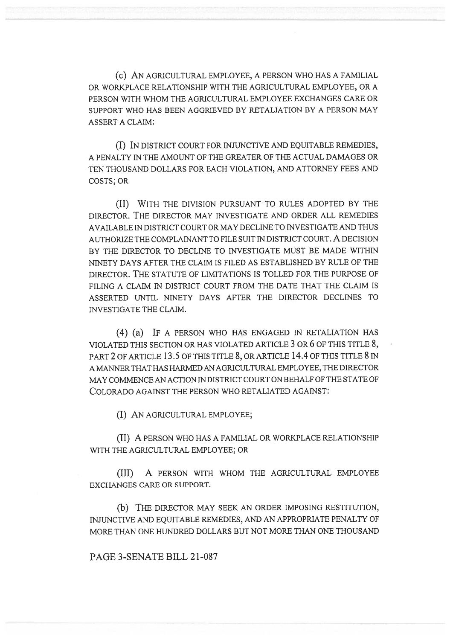(c) AN AGRICULTURAL EMPLOYEE, A PERSON WHO HAS A FAMILIAL OR WORKPLACE RELATIONSHIP WITH THE AGRICULTURAL EMPLOYEE, OR A PERSON WITH WHOM THE AGRICULTURAL EMPLOYEE EXCHANGES CARE OR SUPPORT WHO HAS BEEN AGGRIEVED BY RETALIATION BY A PERSON MAY ASSERT A CLAIM:

(I) IN DISTRICT COURT FOR INJUNCTIVE AND EQUITABLE REMEDIES, A PENALTY IN THE AMOUNT OF THE GREATER OF THE ACTUAL DAMAGES OR TEN THOUSAND DOLLARS FOR EACH VIOLATION, AND ATTORNEY FEES AND COSTS; OR

(II) WITH THE DIVISION PURSUANT TO RULES ADOPTED BY THE DIRECTOR. THE DIRECTOR MAY INVESTIGATE AND ORDER ALL REMEDIES AVAILABLE IN DISTRICT COURT OR MAY DECLINE TO INVESTIGATE AND THUS AUTHORIZE THE COMPLAINANT TO FILE SUIT IN DISTRICT COURT. A DECISION BY THE DIRECTOR TO DECLINE TO INVESTIGATE MUST BE MADE WITHIN NINETY DAYS AFTER THE CLAIM IS FILED AS ESTABLISHED BY RULE OF THE DIRECTOR. THE STATUTE OF LIMITATIONS IS TOLLED FOR THE PURPOSE OF FILING A CLAIM IN DISTRICT COURT FROM THE DATE THAT THE CLAIM IS ASSERTED UNTIL NINETY DAYS AFTER THE DIRECTOR DECLINES TO INVESTIGATE THE CLAIM.

(4) (a) IF A PERSON WHO HAS ENGAGED IN RETALIATION HAS VIOLATED THIS SECTION OR HAS VIOLATED ARTICLE 3 OR 6 OF THIS TITLE 8, PART 2 OF ARTICLE 13.5 OF THIS TITLE 8, OR ARTICLE 14.4 OF THIS TITLE 8 IN A MANNER THAT HAS HARMED AN AGRICULTURAL EMPLOYEE, THE DIRECTOR MAY COMMENCE AN ACTION IN DISTRICT COURT ON BEHALF OF THE STATE OF COLORADO AGAINST THE PERSON WHO RETALIATED AGAINST:

(I) AN AGRICULTURAL EMPLOYEE;

(II) A PERSON WHO HAS A FAMILIAL OR WORKPLACE RELATIONSHIP WITH THE AGRICULTURAL EMPLOYEE; OR

(III) A PERSON WITH WHOM THE AGRICULTURAL EMPLOYEE EXCHANGES CARE OR SUPPORT.

(b) THE DIRECTOR MAY SEEK AN ORDER IMPOSING RESTITUTION, INJUNCTIVE AND EQUITABLE REMEDIES, AND AN APPROPRIATE PENALTY OF MORE THAN ONE HUNDRED DOLLARS BUT NOT MORE THAN ONE THOUSAND

PAGE 3-SENATE BILL 21-087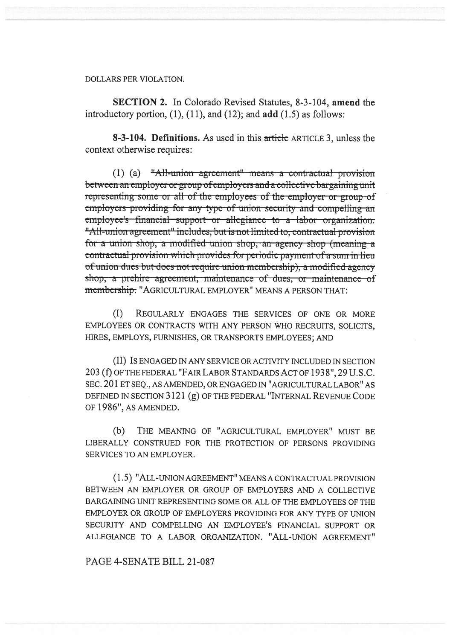DOLLARS PER VIOLATION.

SECTION 2. In Colorado Revised Statutes, 8-3-104, amend the introductory portion,  $(1)$ ,  $(11)$ , and  $(12)$ ; and  $add (1.5)$  as follows:

8-3-104. Definitions. As used in this article ARTICLE 3, unless the context otherwise requires:

(1) (a) "All-union agreement" means a contractual provision between an employer or group of employers and a collective bargaining unit representing-some-or-all-of-the-employees-of-the-employer-or-group-ofemployers-providing-for-any-type-of-union-security and-compelling-an employee's-financial-support-or-allegiance-to-a-labor-organization. "All-union agreement" includes, but is not limited to, contractual provision for a union shop, a modified union shop, an agency shop (meaning a contractual provision which provides for periodic payment of a sum in lieu of union dues but does not require union membership), a modified agency shop, a prehire agreement, maintenance of dues, or maintenance of membership. "AGRICULTURAL EMPLOYER" MEANS A PERSON THAT:

(I) REGULARLY ENGAGES THE SERVICES OF ONE OR MORE EMPLOYEES OR CONTRACTS WITH ANY PERSON WHO RECRUITS, SOLICITS, HIRES, EMPLOYS, FURNISHES, OR TRANSPORTS EMPLOYEES; AND

(II) IS ENGAGED IN ANY SERVICE OR ACTIVITY INCLUDED IN SECTION 203 (f) OF THE FEDERAL "FAIR LABOR STANDARDS ACT OF 1938", 29 U.S.C. SEC. 201 ET SEQ., AS AMENDED, OR ENGAGED IN "AGRICULTURAL LABOR" AS DEFINED IN SECTION 3121 (g) OF THE FEDERAL "INTERNAL REVENUE CODE OF 1986", AS AMENDED.

(b) THE MEANING OF "AGRICULTURAL EMPLOYER" MUST BE LIBERALLY CONSTRUED FOR THE PROTECTION OF PERSONS PROVIDING SERVICES TO AN EMPLOYER.

(1.5) "ALL-UNION AGREEMENT" MEANS A CONTRACTUAL PROVISION BETWEEN AN EMPLOYER OR GROUP OF EMPLOYERS AND A COLLECTIVE BARGAINING UNIT REPRESENTING SOME OR ALL OF THE EMPLOYEES OF THE EMPLOYER OR GROUP OF EMPLOYERS PROVIDING FOR ANY TYPE OF UNION SECURITY AND COMPELLING AN EMPLOYEE'S FINANCIAL SUPPORT OR ALLEGIANCE TO A LABOR ORGANIZATION. "ALL-UNION AGREEMENT"

PAGE 4-SENATE BILL 21-087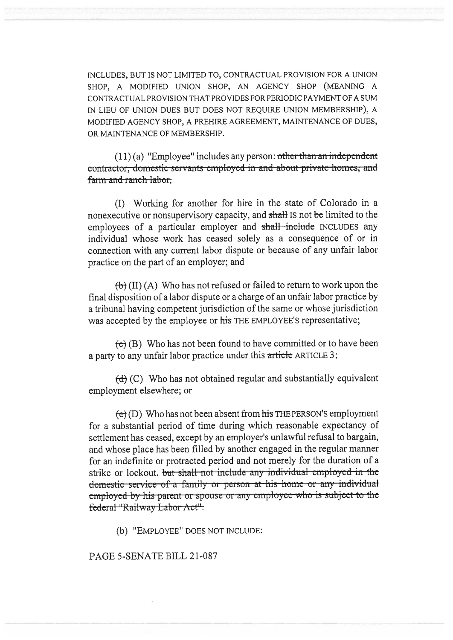INCLUDES, BUT IS NOT LIMITED TO, CONTRACTUAL PROVISION FOR A UNION SHOP, A MODIFIED UNION SHOP, AN AGENCY SHOP (MEANING A CONTRACTUAL PROVISION THAT PROVIDES FOR PERIODIC PAYMENT OF A SUM IN LIEU OF UNION DUES BUT DOES NOT REQUIRE UNION MEMBERSHIP), A MODIFIED AGENCY SHOP, A PREHIRE AGREEMENT, MAINTENANCE OF DUES, OR MAINTENANCE OF MEMBERSHIP.

 $(11)(a)$  "Employee" includes any person: other than an independent contractor, domestic servants employed in and about private homes, and farm and ranch labor.

(I) Working for another for hire in the state of Colorado in a nonexecutive or nonsupervisory capacity, and shall IS not be limited to the employees of a particular employer and shall include INCLUDES any individual whose work has ceased solely as a consequence of or in connection with any current labor dispute or because of any unfair labor practice on the part of an employer; and

 $\left(\frac{b}{b}\right)$  (II) (A) Who has not refused or failed to return to work upon the final disposition of a labor dispute or a charge of an unfair labor practice by a tribunal having competent jurisdiction of the same or whose jurisdiction was accepted by the employee or his THE EMPLOYEE'S representative;

 $f(\mathbf{c})$  (B) Who has not been found to have committed or to have been a party to any unfair labor practice under this article ARTICLE 3;

 $(d)$  (C) Who has not obtained regular and substantially equivalent employment elsewhere; or

 $(e)$  (D) Who has not been absent from his THE PERSON'S employment for a substantial period of time during which reasonable expectancy of settlement has ceased, except by an employer's unlawful refusal to bargain, and whose place has been filled by another engaged in the regular manner for an indefinite or protracted period and not merely for the duration of a strike or lockout. but shall not include any individual employed in the domestic-service-of-a-family or person at his home or any individual employed by his parent or spouse or any employee who is subject to the federal "Railway Labor Act".

(b) "EMPLOYEE" DOES NOT INCLUDE:

PAGE 5-SENATE BILL 21-087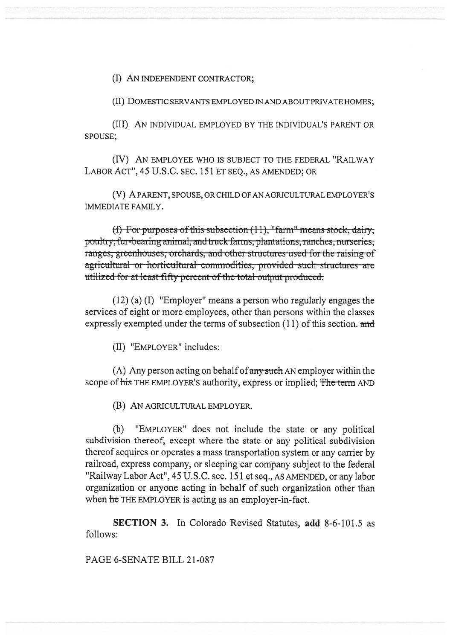(I) AN INDEPENDENT CONTRACTOR;

(II) DOMESTIC SERVANTS EMPLOYED IN AND ABOUT PRIVATE HOMES;

(III) AN INDIVIDUAL EMPLOYED BY THE INDIVIDUAL'S PARENT OR SPOUSE;

(IV) AN EMPLOYEE WHO IS SUBJECT TO THE FEDERAL "RAILWAY LABOR ACT", 45 U.S.C. SEC. 151 ET SEQ., AS AMENDED; OR

(V) A PARENT, SPOUSE, OR CHILD OF AN AGRICULTURAL EMPLOYER'S IMMEDIATE FAMILY.

r purposes of this subsection (11), "farm" means stock, dairy, poultry, fur-bearing animal, and truck farms, plantations, ranches, nurseries; ranges, greenhouses, orchards, and other structures used for the raising of agricultural or horticultural commodities, provided such structures are utilized for at least fifty percent of the total output produced.

(12) (a) (I) "Employer" means a person who regularly engages the services of eight or more employees, other than persons within the classes expressly exempted under the terms of subsection  $(11)$  of this section. and

(II) "EMPLOYER" includes:

(A) Any person acting on behalf of  $\frac{1}{2}$  any such AN employer within the scope of his THE EMPLOYER'S authority, express or implied; The term AND

(B) AN AGRICULTURAL EMPLOYER.

(b) "EMPLOYER" does not include the state or any political subdivision thereof; except where the state or any political subdivision thereof acquires or operates a mass transportation system or any carrier by railroad, express company, or sleeping car company subject to the federal "Railway Labor Act", 45 U.S.C. sec. 151 et seq., AS AMENDED, or any labor organization or anyone acting in behalf of such organization other than when he THE EMPLOYER is acting as an employer-in-fact.

SECTION 3. In Colorado Revised Statutes, add 8-6-101.5 as follows:

PAGE 6-SENATE BILL 21-087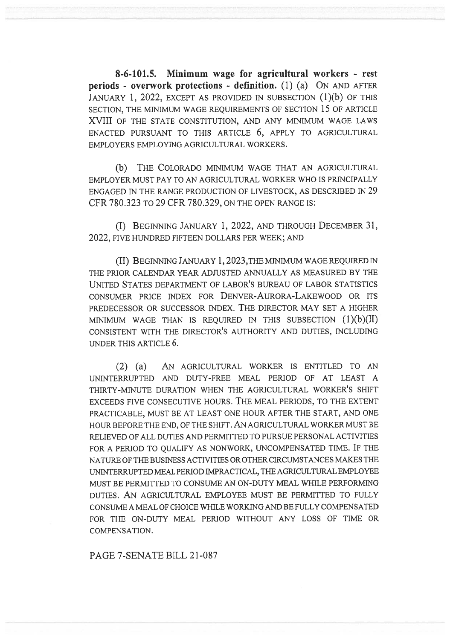8-6-101.5. Minimum wage for agricultural workers - rest periods - overwork protections - definition. (1) (a) ON AND AFTER JANUARY 1, 2022, EXCEPT AS PROVIDED IN SUBSECTION (1)(b) OF THIS SECTION, THE MINIMUM WAGE REQUIREMENTS OF SECTION 15 OF ARTICLE XVIII OF THE STATE CONSTITUTION, AND ANY MINIMUM WAGE LAWS ENACTED PURSUANT TO THIS ARTICLE 6, APPLY TO AGRICULTURAL EMPLOYERS EMPLOYING AGRICULTURAL WORKERS.

(b) THE COLORADO MINIMUM WAGE THAT AN AGRICULTURAL EMPLOYER MUST PAY TO AN AGRICULTURAL WORKER WHO IS PRINCIPALLY ENGAGED IN THE RANGE PRODUCTION OF LIVESTOCK, AS DESCRIBED IN 29 CFR 780.323 TO 29 CFR 780.329, ON THE OPEN RANGE IS:

(I) BEGINNING JANUARY 1, 2022, AND THROUGH DECEMBER 31, 2022, FIVE HUNDRED FIFTEEN DOLLARS PER WEEK; AND

(II) BEGINNING JANUARY 1, 2023,THE MINIMUM WAGE REQUIRED IN THE PRIOR CALENDAR YEAR ADJUSTED ANNUALLY AS MEASURED BY THE UNITED STATES DEPARTMENT OF LABOR'S BUREAU OF LABOR STATISTICS CONSUMER PRICE INDEX FOR DENVER-AURORA-LAKEWOOD OR ITS PREDECESSOR OR SUCCESSOR INDEX. THE DIRECTOR MAY SET A HIGHER MINIMUM WAGE THAN IS REQUIRED IN THIS SUBSECTION  $(1)(b)(II)$ CONSISTENT WITH THE DIRECTOR'S AUTHORITY AND DUTIES, INCLUDING UNDER THIS ARTICLE 6.

(2) (a) AN AGRICULTURAL WORKER IS ENTITLED TO AN UNINTERRUPTED AND DUTY-FREE MEAL PERIOD OF AT LEAST A THIRTY-MINUTE DURATION WHEN THE AGRICULTURAL WORKER'S SHIFT EXCEEDS FIVE CONSECUTIVE HOURS. THE MEAL PERIODS, TO THE EXTENT PRACTICABLE, MUST BE AT LEAST ONE HOUR AFTER THE START, AND ONE HOUR BEFORE THE END, OF THE SHIFT. AN AGRICULTURAL WORKER MUST BE RELIEVED OF ALL DUTIES AND PERMITTED TO PURSUE PERSONAL ACTIVITIES FOR A PERIOD TO QUALIFY AS NONWORK, UNCOMPENSATED TIME. IF THE NATURE OF THE BUSINESS ACTIVITIES OR OTHER CIRCUMSTANCES MAKES THE UNINTERRUPTED MEAL PERIOD IMPRACTICAL, THE AGRICULTURAL EMPLOYEE MUST BE PERMITTED TO CONSUME AN ON-DUTY MEAL WHILE PERFORMING DUTIES. AN AGRICULTURAL EMPLOYEE MUST BE PERMITTED TO FULLY CONSUME A MEAL OF CHOICE WHILE WORKING AND BE FULLY COMPENSATED FOR THE ON-DUTY MEAL PERIOD WITHOUT ANY LOSS OF TIME OR COMPENSATION.

PAGE 7-SENATE BILL 21-087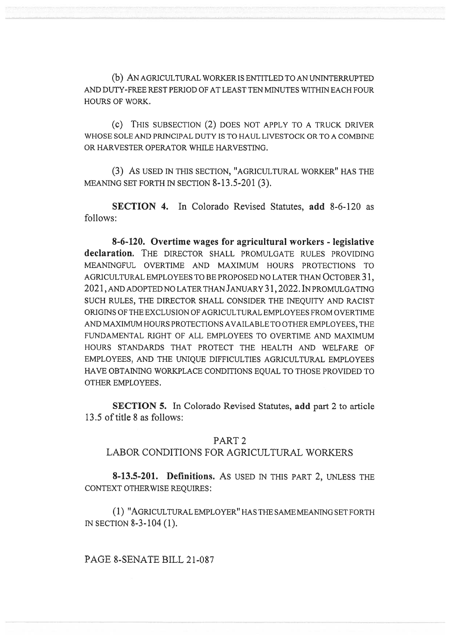(b) AN AGRICULTURAL WORKER IS ENTITLED TO AN UNINTERRUPTED AND DUTY-FREE REST PERIOD OF AT LEAST TEN MINUTES WITHIN EACH FOUR HOURS OF WORK.

(c) THIS SUBSECTION (2) DOES NOT APPLY TO A TRUCK DRIVER WHOSE SOLE AND PRINCIPAL DUTY IS TO HAUL LIVESTOCK OR TO A COMBINE OR HARVESTER OPERATOR WHILE HARVESTING.

(3) AS USED IN THIS SECTION, "AGRICULTURAL WORKER" HAS THE MEANING SET FORTH IN SECTION 8-13.5-201 (3).

SECTION 4. In Colorado Revised Statutes, add 8-6-120 as follows:

8-6-120. Overtime wages for agricultural workers - legislative declaration. THE DIRECTOR SHALL PROMULGATE RULES PROVIDING MEANINGFUL OVERTIME AND MAXIMUM HOURS PROTECTIONS TO AGRICULTURAL EMPLOYEES TO BE PROPOSED NO LATER THAN OCTOBER 31, 2021, AND ADOPTED NO LATER THAN JANUARY 31,2022.1N PROMULGATING SUCH RULES, THE DIRECTOR SHALL CONSIDER THE INEQUITY AND RACIST ORIGINS OF THE EXCLUSION OF AGRICULTURAL EMPLOYEES FROM OVERTIME AND MAXIMUM HOURS PROTECTIONS AVAILABLE TO OTHER EMPLOYEES, THE FUNDAMENTAL RIGHT OF ALL EMPLOYEES TO OVERTIME AND MAXIMUM HOURS STANDARDS THAT PROTECT THE HEALTH AND WELFARE OF EMPLOYEES, AND THE UNIQUE DIFFICULTIES AGRICULTURAL EMPLOYEES HAVE OBTAINING WORKPLACE CONDITIONS EQUAL TO THOSE PROVIDED TO OTHER EMPLOYEES.

SECTION 5. In Colorado Revised Statutes, add part 2 to article 13.5 of title 8 as follows:

#### PART 2

### LABOR CONDITIONS FOR AGRICULTURAL WORKERS

8-13.5-201. Definitions. AS USED IN THIS PART 2, UNLESS THE CONTEXT OTHERWISE REQUIRES:

(1) "AGRICULTURAL EMPLOYER" HAS THE SAME MEANING SET FORTH IN SECTION 8-3-104 (1).

PAGE 8-SENATE BILL 21-087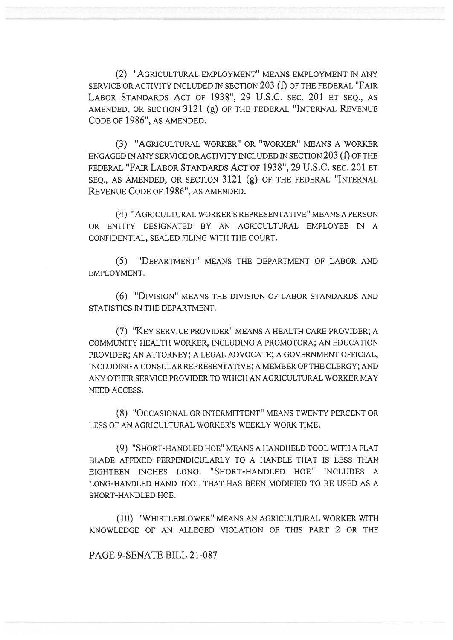(2) "AGRICULTURAL EMPLOYMENT" MEANS EMPLOYMENT IN ANY SERVICE OR ACTIVITY INCLUDED IN SECTION 203 (f) OF THE FEDERAL "FAIR LABOR STANDARDS ACT OF 1938", 29 U.S.C. SEC. 201 ET SEQ., AS AMENDED, OR SECTION 3121 (g) OF THE FEDERAL "INTERNAL REVENUE CODE OF 1986", AS AMENDED.

(3) "AGRICULTURAL WORKER" OR "WORKER" MEANS A WORKER ENGAGED IN ANY SERVICE OR ACTIVITY INCLUDED IN SECTION 203 (f) OF THE FEDERAL "FAIR LABOR STANDARDS ACT OF 1938", 29 U.S.C. SEC. 201 ET SEQ., AS AMENDED, OR SECTION 3121 (g) OF THE FEDERAL "INTERNAL REVENUE CODE OF 1986", AS AMENDED.

(4) "AGRICULTURAL WORKER'S REPRESENTATIVE" MEANS A PERSON OR ENTITY DESIGNATED BY AN AGRICULTURAL EMPLOYEE IN A CONFIDENTIAL, SEALED FILING WITH THE COURT.

(5) "DEPARTMENT" MEANS THE DEPARTMENT OF LABOR AND EMPLOYMENT.

(6) "DIVISION" MEANS THE DIVISION OF LABOR STANDARDS AND STATISTICS IN THE DEPARTMENT.

(7) "KEY SERVICE PROVIDER" MEANS A HEALTH CARE PROVIDER; A COMMUNITY HEALTH WORKER, INCLUDING A PROMOTORA; AN EDUCATION PROVIDER; AN ATTORNEY; A LEGAL ADVOCATE; A GOVERNMENT OFFICIAL, INCLUDING A CONSULAR REPRESENTATIVE; A MEMBER OF THE CLERGY; AND ANY OTHER SERVICE PROVIDER TO WHICH AN AGRICULTURAL WORKER MAY NEED ACCESS.

(8) "OCCASIONAL OR INTERMITTENT" MEANS TWENTY PERCENT OR LESS OF AN AGRICULTURAL WORKER'S WEEKLY WORK TIME.

(9) "SHORT-HANDLED HOE" MEANS A HANDHELD TOOL WITH A FLAT BLADE AFFIXED PERPENDICULARLY TO A HANDLE THAT IS LESS THAN EIGHTEEN INCHES LONG. "SHORT-HANDLED HOE" INCLUDES A LONG-HANDLED HAND TOOL THAT HAS BEEN MODIFIED TO BE USED AS A SHORT-HANDLED HOE.

(10) "WHISTLEBLOWER" MEANS AN AGRICULTURAL WORKER WITH KNOWLEDGE OF AN ALLEGED VIOLATION OF THIS PART 2 OR THE

PAGE 9-SENATE BILL 21-087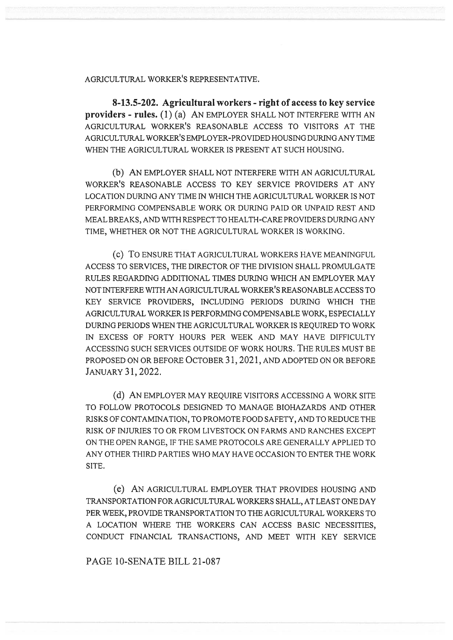#### AGRICULTURAL WORKER'S REPRESENTATIVE.

8-13.5-202. Agricultural workers - right of access to key service providers - rules. (1) (a) AN EMPLOYER SHALL NOT INTERFERE WITH AN AGRICULTURAL WORKER'S REASONABLE ACCESS TO VISITORS AT THE AGRICULTURAL WORKER'S EMPLOYER-PROVIDED HOUSING DURING ANY TIME WHEN THE AGRICULTURAL WORKER IS PRESENT AT SUCH HOUSING.

(b) AN EMPLOYER SHALL NOT INTERFERE WITH AN AGRICULTURAL WORKER'S REASONABLE ACCESS TO KEY SERVICE PROVIDERS AT ANY LOCATION DURING ANY TIME IN WHICH THE AGRICULTURAL WORKER IS NOT PERFORMING COMPENSABLE WORK OR DURING PAID OR UNPAID REST AND MEAL BREAKS, AND WITH RESPECT TO HEALTH-CARE PROVIDERS DURING ANY TIME, WHETHER OR NOT THE AGRICULTURAL WORKER IS WORKING.

(c) To ENSURE THAT AGRICULTURAL WORKERS HAVE MEANINGFUL ACCESS TO SERVICES, THE DIRECTOR OF THE DIVISION SHALL PROMULGATE RULES REGARDING ADDITIONAL TIMES DURING WHICH AN EMPLOYER MAY NOT INTERFERE WITH AN AGRICULTURAL WORKER'S REASONABLE ACCESS TO KEY SERVICE PROVIDERS, INCLUDING PERIODS DURING WHICH THE AGRICULTURAL WORKER IS PERFORMING COMPENSABLE WORK, ESPECIALLY DURING PERIODS WHEN THE AGRICULTURAL WORKER IS REQUIRED TO WORK IN EXCESS OF FORTY HOURS PER WEEK AND MAY HAVE DIFFICULTY ACCESSING SUCH SERVICES OUTSIDE OF WORK HOURS. THE RULES MUST BE PROPOSED ON OR BEFORE OCTOBER 31, 2021, AND ADOPTED ON OR BEFORE JANUARY 31, 2022.

(d) AN EMPLOYER MAY REQUIRE VISITORS ACCESSING A WORK SITE TO FOLLOW PROTOCOLS DESIGNED TO MANAGE BIOHAZARDS AND OTHER RISKS OF CONTAMINATION, TO PROMOTE FOOD SAFETY, AND TO REDUCE THE RISK OF INJURIES TO OR FROM LIVESTOCK ON FARMS AND RANCHES EXCEPT ON THE OPEN RANGE, IF THE SAME PROTOCOLS ARE GENERALLY APPLIED TO ANY OTHER THIRD PARTIES WHO MAY HAVE OCCASION TO ENTER THE WORK SITE.

(e) AN AGRICULTURAL EMPLOYER THAT PROVIDES HOUSING AND TRANSPORTATION FOR AGRICULTURAL WORKERS SHALL, AT LEAST ONE DAY PER WEEK, PROVIDE TRANSPORTATION TO THE AGRICULTURAL WORKERS TO A LOCATION WHERE THE WORKERS CAN ACCESS BASIC NECESSITIES, CONDUCT FINANCIAL TRANSACTIONS, AND MEET WITH KEY SERVICE

PAGE 10-SENATE BILL 21-087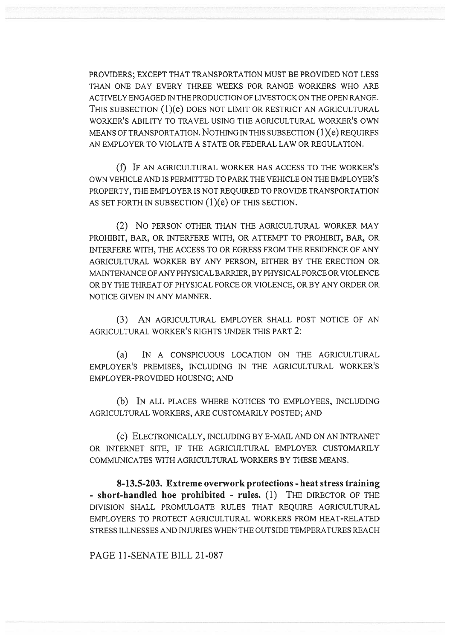PROVIDERS; EXCEPT THAT TRANSPORTATION MUST BE PROVIDED NOT LESS THAN ONE DAY EVERY THREE WEEKS FOR RANGE WORKERS WHO ARE ACTIVELY ENGAGED IN THE PRODUCTION OF LIVESTOCK ON THE OPEN RANGE. THIS SUBSECTION (1)(e) DOES NOT LIMIT OR RESTRICT AN AGRICULTURAL WORKER'S ABILITY TO TRAVEL USING THE AGRICULTURAL WORKER'S OWN MEANS OF TRANSPORTATION. NOTHING IN THIS SUBSECTION (1)(e) REQUIRES AN EMPLOYER TO VIOLATE A STATE OR FEDERAL LAW OR REGULATION.

(f) IF AN AGRICULTURAL WORKER HAS ACCESS TO THE WORKER'S OWN VEHICLE AND IS PERMITTED TO PARK THE VEHICLE ON THE EMPLOYER'S PROPERTY, THE EMPLOYER IS NOT REQUIRED TO PROVIDE TRANSPORTATION AS SET FORTH IN SUBSECTION  $(1)(e)$  OF THIS SECTION.

(2) No PERSON OTHER THAN THE AGRICULTURAL WORKER MAY PROHIBIT, BAR, OR INTERFERE WITH, OR ATTEMPT TO PROHIBIT, BAR, OR INTERFERE WITH, THE ACCESS TO OR EGRESS FROM THE RESIDENCE OF ANY AGRICULTURAL WORKER BY ANY PERSON, EITHER BY THE ERECTION OR MAINTENANCE OF ANY PHYSICAL BARRIER, BY PHYSICAL FORCE OR VIOLENCE OR BY THE THREAT OF PHYSICAL FORCE OR VIOLENCE, OR BY ANY ORDER OR NOTICE GIVEN IN ANY MANNER.

(3) AN AGRICULTURAL EMPLOYER SHALL POST NOTICE OF AN AGRICULTURAL WORKER'S RIGHTS UNDER THIS PART 2:

(a) IN A CONSPICUOUS LOCATION ON THE AGRICULTURAL EMPLOYER'S PREMISES, INCLUDING IN THE AGRICULTURAL WORKER'S EMPLOYER-PROVIDED HOUSING; AND

(b) IN ALL PLACES WHERE NOTICES TO EMPLOYEES, INCLUDING AGRICULTURAL WORKERS, ARE CUSTOMARILY POSTED; AND

(c) ELECTRONICALLY, INCLUDING BY E-MAIL AND ON AN INTRANET OR INTERNET SITE, IF THE AGRICULTURAL EMPLOYER CUSTOMARILY COMMUNICATES WITH AGRICULTURAL WORKERS BY THESE MEANS.

8-13.5-203. Extreme overwork protections - heat stress training - short-handled hoe prohibited - rules. (1) THE DIRECTOR OF THE DIVISION SHALL PROMULGATE RULES THAT REQUIRE AGRICULTURAL EMPLOYERS TO PROTECT AGRICULTURAL WORKERS FROM HEAT-RELATED STRESS ILLNESSES AND INJURIES WHEN THE OUTSIDE TEMPERATURES REACH

PAGE 11-SENATE BILL 21-087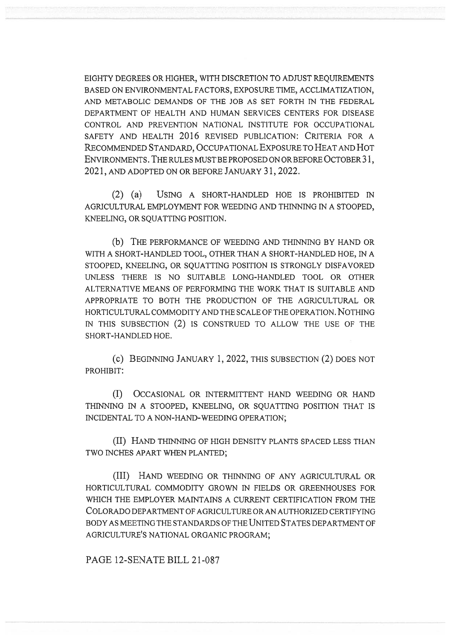EIGHTY DEGREES OR HIGHER, WITH DISCRETION TO ADJUST REQUIREMENTS BASED ON ENVIRONMENTAL FACTORS, EXPOSURE TIME, ACCLIMATIZATION, AND METABOLIC DEMANDS OF THE JOB AS SET FORTH IN THE FEDERAL DEPARTMENT OF HEALTH AND HUMAN SERVICES CENTERS FOR DISEASE CONTROL AND PREVENTION NATIONAL INSTITUTE FOR OCCUPATIONAL SAFETY AND HEALTH 2016 REVISED PUBLICATION: CRITERIA FOR A RECOMMENDED STANDARD, OCCUPATIONAL EXPOSURE TO HEAT AND HOT ENVIRONMENTS. THE RULES MUST BE PROPOSED ON OR BEFORE OCTOBER 31, 2021, AND ADOPTED ON OR BEFORE JANUARY 31, 2022.

(2) (a) USING A SHORT-HANDLED HOE IS PROHIBITED IN AGRICULTURAL EMPLOYMENT FOR WEEDING AND THINNING IN A STOOPED, KNEELING, OR SQUATTING POSITION.

(b) THE PERFORMANCE OF WEEDING AND THINNING BY HAND OR WITH A SHORT-HANDLED TOOL, OTHER THAN A SHORT-HANDLED HOE, IN A STOOPED, KNEELING, OR SQUATTING POSITION IS STRONGLY DISFAVORED UNLESS THERE IS NO SUITABLE LONG-HANDLED TOOL OR OTHER ALTERNATIVE MEANS OF PERFORMING THE WORK THAT IS SUITABLE AND APPROPRIATE TO BOTH THE PRODUCTION OF THE AGRICULTURAL OR HORTICULTURAL COMMODITY AND THE SCALE OF THE OPERATION. NOTHING IN THIS SUBSECTION (2) IS CONSTRUED TO ALLOW THE USE OF THE SHORT-HANDLED HOE.

(c) BEGINNING JANUARY 1, 2022, THIS SUBSECTION (2) DOES NOT PROHIBIT:

(I) OCCASIONAL OR INTERMITTENT HAND WEEDING OR HAND THINNING IN A STOOPED, KNEELING, OR SQUATTING POSITION THAT IS INCIDENTAL TO A NON-HAND-WEEDING OPERATION;

(II) HAND THINNING OF HIGH DENSITY PLANTS SPACED LESS THAN TWO INCHES APART WHEN PLANTED;

(III) HAND WEEDING OR THINNING OF ANY AGRICULTURAL OR HORTICULTURAL COMMODITY GROWN IN FIELDS OR GREENHOUSES FOR WHICH THE EMPLOYER MAINTAINS A CURRENT CERTIFICATION FROM THE COLORADO DEPARTMENT OF AGRICULTURE OR AN AUTHORIZED CERTIFYING BODY AS MEETING THE STANDARDS OF THE UNITED STATES DEPARTMENT OF AGRICULTURE'S NATIONAL ORGANIC PROGRAM;

PAGE 12-SENATE BILL 21-087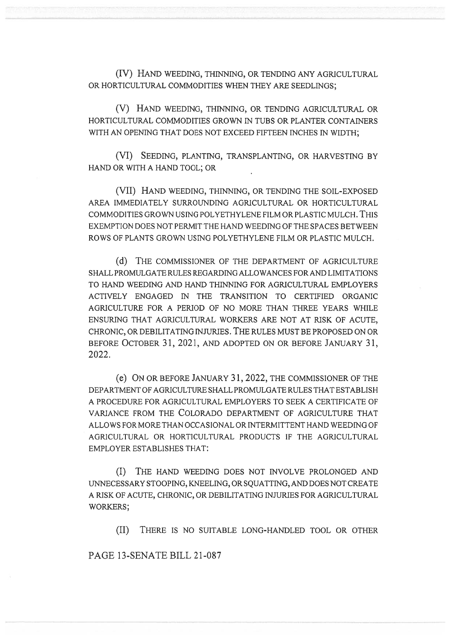(IV) HAND WEEDING, THINNING, OR TENDING ANY AGRICULTURAL OR HORTICULTURAL COMMODITIES WHEN THEY ARE SEEDLINGS;

(V) HAND WEEDING, THINNING, OR TENDING AGRICULTURAL OR HORTICULTURAL COMMODITIES GROWN IN TUBS OR PLANTER CONTAINERS WITH AN OPENING THAT DOES NOT EXCEED FIFTEEN INCHES IN WIDTH:

(VI) SEEDING, PLANTING, TRANSPLANTING, OR HARVESTING BY HAND OR WITH A HAND TOOL; OR

(VII) HAND WEEDING, THINNING, OR TENDING THE SOIL-EXPOSED AREA IMMEDIATELY SURROUNDING AGRICULTURAL OR HORTICULTURAL COMMODITIES GROWN USING POLYETHYLENE FILM OR PLASTIC MULCH. THIS EXEMPTION DOES NOT PERMIT THE HAND WEEDING OF THE SPACES BETWEEN ROWS OF PLANTS GROWN USING POLYETHYLENE FILM OR PLASTIC MULCH.

(d) THE COMMISSIONER OF THE DEPARTMENT OF AGRICULTURE SHALL PROMULGATE RULES REGARDING ALLOWANCES FOR AND LIMITATIONS TO HAND WEEDING AND HAND THINNING FOR AGRICULTURAL EMPLOYERS ACTIVELY ENGAGED IN THE TRANSITION TO CERTIFIED ORGANIC AGRICULTURE FOR A PERIOD OF NO MORE THAN THREE YEARS WHILE ENSURING THAT AGRICULTURAL WORKERS ARE NOT AT RISK OF ACUTE, CHRONIC, OR DEBILITATING INJURIES. THE RULES MUST BE PROPOSED ON OR BEFORE OCTOBER 31, 2021, AND ADOPTED ON OR BEFORE JANUARY 31, 2022.

(e) ON OR BEFORE JANUARY 31, 2022, THE COMMISSIONER OF THE DEPARTMENT OF AGRICULTURE SHALL PROMULGATE RULES THAT ESTABLISH A PROCEDURE FOR AGRICULTURAL EMPLOYERS TO SEEK A CERTIFICATE OF VARIANCE FROM THE COLORADO DEPARTMENT OF AGRICULTURE THAT ALLOWS FOR MORE THAN OCCASIONAL OR INTERMITTENT HAND WEEDING OF AGRICULTURAL OR HORTICULTURAL PRODUCTS IF THE AGRICULTURAL EMPLOYER ESTABLISHES THAT:

(I) THE HAND WEEDING DOES NOT INVOLVE PROLONGED AND UNNECESSARY STOOPING, KNEELING, OR SQUATTING, AND DOES NOT CREATE A RISK OF ACUTE, CHRONIC, OR DEBILITATING INJURIES FOR AGRICULTURAL WORKERS;

(II) THERE IS NO SUITABLE LONG-HANDLED TOOL OR OTHER

PAGE 13-SENATE BILL 21-087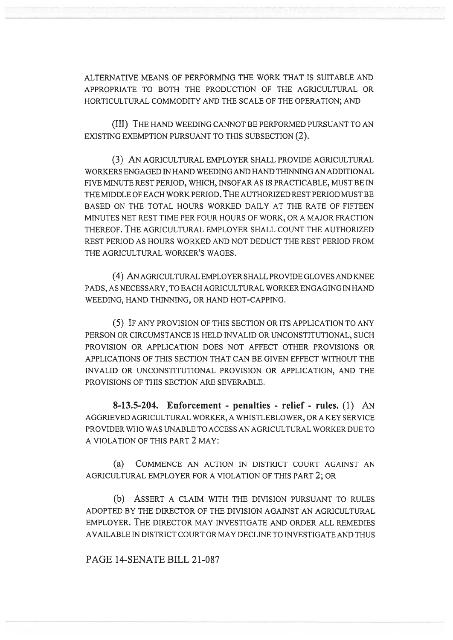ALTERNATIVE MEANS OF PERFORMING THE WORK THAT IS SUITABLE AND APPROPRIATE TO BOTH THE PRODUCTION OF THE AGRICULTURAL OR HORTICULTURAL COMMODITY AND THE SCALE OF THE OPERATION; AND

(III) THE HAND WEEDING CANNOT BE PERFORMED PURSUANT TO AN EXISTING EXEMPTION PURSUANT TO THIS SUBSECTION (2).

(3) AN AGRICULTURAL EMPLOYER SHALL PROVIDE AGRICULTURAL WORKERS ENGAGED IN HAND WEEDING AND HAND THINNING AN ADDITIONAL FIVE MINUTE REST PERIOD, WHICH, INSOFAR AS IS PRACTICABLE, MUST BE IN THE MIDDLE OF EACH WORK PERIOD. THE AUTHORIZED REST PERIOD MUST BE BASED ON THE TOTAL HOURS WORKED DAILY AT THE RATE OF FIFTEEN MINUTES NET REST TIME PER FOUR HOURS OF WORK, OR A MAJOR FRACTION THEREOF. THE AGRICULTURAL EMPLOYER SHALL COUNT THE AUTHORIZED REST PERIOD AS HOURS WORKED AND NOT DEDUCT THE REST PERIOD FROM THE AGRICULTURAL WORKER'S WAGES.

(4) AN AGRICULTURAL EMPLOYER SHALL PROVIDE GLOVES AND KNEE PADS, AS NECESSARY, TO EACH AGRICULTURAL WORKER ENGAGING IN HAND WEEDING, HAND THINNING, OR HAND HOT-CAPPING.

(5) IF ANY PROVISION OF THIS SECTION OR ITS APPLICATION TO ANY PERSON OR CIRCUMSTANCE IS HELD INVALID OR UNCONSTITUTIONAL, SUCH PROVISION OR APPLICATION DOES NOT AFFECT OTHER PROVISIONS OR APPLICATIONS OF THIS SECTION THAT CAN BE GIVEN EFFECT WITHOUT THE INVALID OR UNCONSTITUTIONAL PROVISION OR APPLICATION, AND THE PROVISIONS OF THIS SECTION ARE SEVERABLE.

8-13.5-204. Enforcement - penalties - relief - rules. (1) AN AGGRIEVED AGRICULTURAL WORKER, A WHISTLEBLOWER, OR A KEY SERVICE PROVIDER WHO WAS UNABLE TO ACCESS AN AGRICULTURAL WORKER DUE TO A VIOLATION OF THIS PART 2 MAY:

(a) COMMENCE AN ACTION IN DISTRICT COURT AGAINST AN AGRICULTURAL EMPLOYER FOR A VIOLATION OF THIS PART 2; OR

(b) ASSERT A CLAIM WITH THE DIVISION PURSUANT TO RULES ADOPTED BY THE DIRECTOR OF THE DIVISION AGAINST AN AGRICULTURAL EMPLOYER. THE DIRECTOR MAY INVESTIGATE AND ORDER ALL REMEDIES AVAILABLE IN DISTRICT COURT OR MAY DECLINE TO INVESTIGATE AND THUS

PAGE 14-SENATE BILL 21-087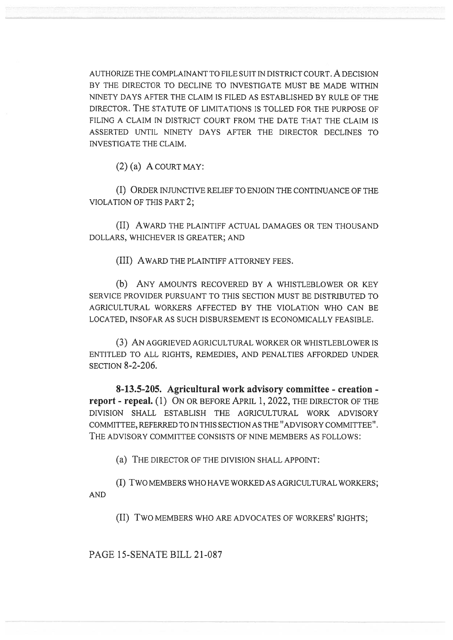AUTHORIZE THE COMPLAINANT TO FILE SUIT IN DISTRICT COURT. A DECISION BY THE DIRECTOR TO DECLINE TO INVESTIGATE MUST BE MADE WITHIN NINETY DAYS AFTER THE CLAIM IS FILED AS ESTABLISHED BY RULE OF THE DIRECTOR. THE STATUTE OF LIMITATIONS IS TOLLED FOR THE PURPOSE OF FILING A CLAIM IN DISTRICT COURT FROM THE DATE THAT THE CLAIM IS ASSERTED UNTIL NINETY DAYS AFTER THE DIRECTOR DECLINES TO INVESTIGATE THE CLAIM.

 $(2)$  (a) A COURT MAY:

(I) ORDER INJUNCTIVE RELIEF TO ENJOIN THE CONTINUANCE OF THE VIOLATION OF THIS PART 2;

(II) AWARD THE PLAINTIFF ACTUAL DAMAGES OR TEN THOUSAND DOLLARS, WHICHEVER IS GREATER; AND

(III) AWARD THE PLAINTIFF ATTORNEY FEES.

(b) ANY AMOUNTS RECOVERED BY A WHISTLEBLOWER OR KEY SERVICE PROVIDER PURSUANT TO THIS SECTION MUST BE DISTRIBUTED TO AGRICULTURAL WORKERS AFFECTED BY THE VIOLATION WHO CAN BE LOCATED, INSOFAR AS SUCH DISBURSEMENT IS ECONOMICALLY FEASIBLE.

(3) AN AGGRIEVED AGRICULTURAL WORKER OR WHISTLEBLOWER IS ENTITLED TO ALL RIGHTS, REMEDIES, AND PENALTIES AFFORDED UNDER SECTION 8-2-206.

8-13.5-205. Agricultural work advisory committee - creation report - repeal. (1) ON OR BEFORE APRIL 1, 2022, THE DIRECTOR OF THE DIVISION SHALL ESTABLISH THE AGRICULTURAL WORK ADVISORY COMMITTEE, REFERRED TO IN THIS SECTION AS THE "ADVISORY COMMITTEE". THE ADVISORY COMMITTEE CONSISTS OF NINE MEMBERS AS FOLLOWS:

(a) THE DIRECTOR OF THE DIVISION SHALL APPOINT:

(I) TWO MEMBERS WHO HAVE WORKED AS AGRICULTURAL WORKERS; AND

(II) TWO MEMBERS WHO ARE ADVOCATES OF WORKERS' RIGHTS;

PAGE 15-SENATE BILL 21-087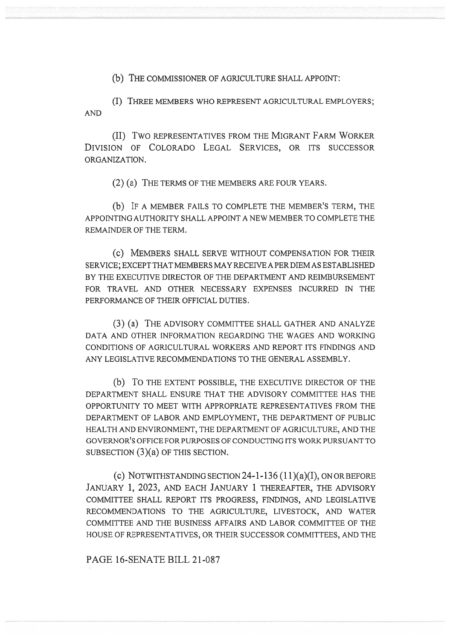(b) THE COMMISSIONER OF AGRICULTURE SHALL APPOINT:

(I) THREE MEMBERS WHO REPRESENT AGRICULTURAL EMPLOYERS; AND

(II) Two REPRESENTATIVES FROM THE MIGRANT FARM WORKER DIVISION OF COLORADO LEGAL SERVICES, OR ITS SUCCESSOR ORGANIZATION.

(2) (a) THE TERMS OF THE MEMBERS ARE FOUR YEARS.

(b) IF A MEMBER FAILS TO COMPLETE THE MEMBER'S TERM, THE APPOINTING AUTHORITY SHALL APPOINT A NEW MEMBER TO COMPLETE THE REMAINDER OF THE TERM.

(C) MEMBERS SHALL SERVE WITHOUT COMPENSATION FOR THEIR SERVICE; EXCEPT THAT MEMBERS MAY RECEIVE A PER DIEM AS ESTABLISHED BY THE EXECUTIVE DIRECTOR OF THE DEPARTMENT AND REIMBURSEMENT FOR TRAVEL AND OTHER NECESSARY EXPENSES INCURRED IN THE PERFORMANCE OF THEIR OFFICIAL DUTIES.

(3) (a) THE ADVISORY COMMITTEE SHALL GATHER AND ANALYZE DATA AND OTHER INFORMATION REGARDING THE WAGES AND WORKING CONDITIONS OF AGRICULTURAL WORKERS AND REPORT ITS FINDINGS AND ANY LEGISLATIVE RECOMMENDATIONS TO THE GENERAL ASSEMBLY.

(b) To THE EXTENT POSSIBLE, THE EXECUTIVE DIRECTOR OF THE DEPARTMENT SHALL ENSURE THAT THE ADVISORY COMMITTEE HAS THE OPPORTUNITY TO MEET WITH APPROPRIATE REPRESENTATIVES FROM THE DEPARTMENT OF LABOR AND EMPLOYMENT, THE DEPARTMENT OF PUBLIC HEALTH AND ENVIRONMENT, THE DEPARTMENT OF AGRICULTURE, AND THE GOVERNOR'S OFFICE FOR PURPOSES OF CONDUCTING ITS WORK PURSUANT TO SUBSECTION (3)(a) OF THIS SECTION.

(c) NOTWITHSTANDING SECTION  $24$ -1-136  $(11)(a)(I)$ , ON OR BEFORE JANUARY 1, 2023, AND EACH JANUARY 1 THEREAFTER, THE ADVISORY COMMITTEE SHALL REPORT ITS PROGRESS, FINDINGS, AND LEGISLATIVE RECOMMENDATIONS TO THE AGRICULTURE, LIVESTOCK, AND WATER COMMITTEE AND THE BUSINESS AFFAIRS AND LABOR COMMITTEE OF THE HOUSE OF REPRESENTATIVES, OR THEIR SUCCESSOR COMMITTEES, AND THE

PAGE 16-SENATE BILL 21-087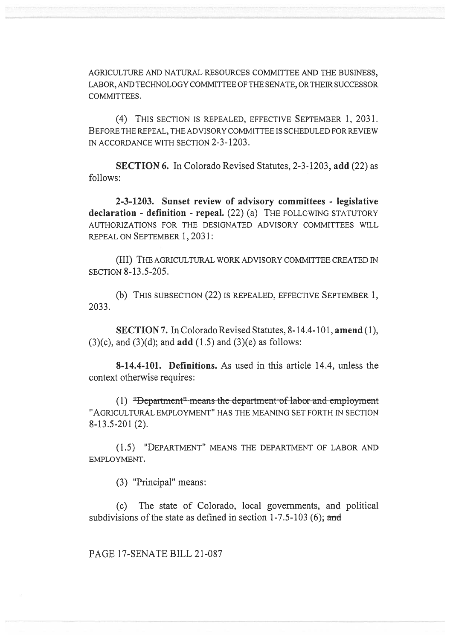AGRICULTURE AND NATURAL RESOURCES COMMITTEE AND THE BUSINESS, LABOR, AND TECHNOLOGY COMMITTEE OF THE SENATE, OR THEIR SUCCESSOR COMMITTEES.

(4) THIS SECTION IS REPEALED, EFFECTIVE SEPTEMBER 1, 2031. BEFORE THE REPEAL, THE ADVISORY COMMITTEE IS SCHEDULED FOR REVIEW IN ACCORDANCE WITH SECTION 2-3-1203.

SECTION 6. In Colorado Revised Statutes, 2-3-1203, add (22) as follows:

2-3-1203. Sunset review of advisory committees - legislative declaration - definition - repeal. (22) (a) THE FOLLOWING STATUTORY AUTHORIZATIONS FOR THE DESIGNATED ADVISORY COMMITTEES WILL REPEAL ON SEPTEMBER 1, 2031:

(III) THE AGRICULTURAL WORK ADVISORY COMMITTEE CREATED IN SECTION 8-13.5-205.

(b) THIS SUBSECTION (22) IS REPEALED, EFFECTIVE SEPTEMBER 1, 2033.

SECTION 7. In Colorado Revised Statutes, 8-14.4-101, amend (1),  $(3)(c)$ , and  $(3)(d)$ ; and **add**  $(1.5)$  and  $(3)(e)$  as follows:

8-14.4-101. Definitions. As used in this article 14.4, unless the context otherwise requires:

 $(1)$  "Department" means the department of labor and employment "AGRICULTURAL EMPLOYMENT" HAS THE MEANING SET FORTH IN SECTION 8-13.5-201 (2).

(1.5) "DEPARTMENT" MEANS THE DEPARTMENT OF LABOR AND EMPLOYMENT.

(3) "Principal" means:

(c) The state of Colorado, local governments, and political subdivisions of the state as defined in section  $1-7.5-103$  (6); and

PAGE 17-SENATE BILL 21-087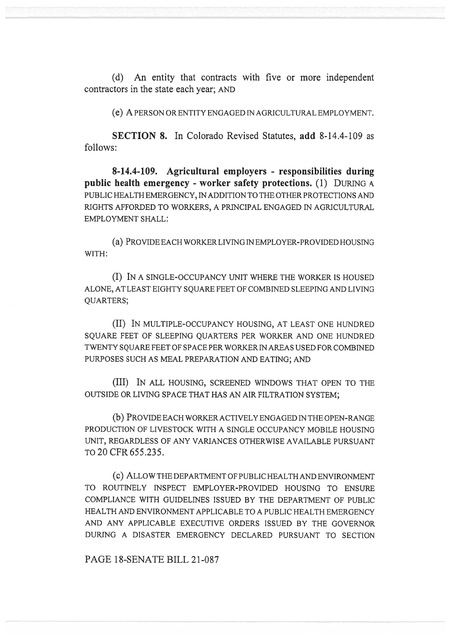(d) An entity that contracts with five or more independent contractors in the state each year; AND

(e) A PERSON OR ENTITY ENGAGED IN AGRICULTURAL EMPLOYMENT.

SECTION 8. In Colorado Revised Statutes, add 8-14.4-109 as follows:

8-14.4-109. Agricultural employers - responsibilities during public health emergency - worker safety protections. (1) DURING A PUBLIC HEALTH EMERGENCY, IN ADDITION TO THE OTHER PROTECTIONS AND RIGHTS AFFORDED TO WORKERS, A PRINCIPAL ENGAGED IN AGRICULTURAL EMPLOYMENT SHALL:

(a) PROVIDE EACH WORKER LIVING IN EMPLOYER-PROVIDED HOUSING WITH:

(I) IN A SINGLE-OCCUPANCY UNIT WHERE THE WORKER IS HOUSED ALONE, AT LEAST EIGHTY SQUARE FEET OF COMBINED SLEEPING AND LIVING QUARTERS;

(II) IN MULTIPLE-OCCUPANCY HOUSING, AT LEAST ONE HUNDRED SQUARE FEET OF SLEEPING QUARTERS PER WORKER AND ONE HUNDRED TWENTY SQUARE FEET OF SPACE PER WORKER IN AREAS USED FOR COMBINED PURPOSES SUCH AS MEAL PREPARATION AND EATING; AND

(III) IN ALL HOUSING, SCREENED WINDOWS THAT OPEN TO THE OUTSIDE OR LIVING SPACE THAT HAS AN AIR FILTRATION SYSTEM;

(b) PROVIDE EACH WORKER ACTIVELY ENGAGED IN THE OPEN-RANGE PRODUCTION OF LIVESTOCK WITH A SINGLE OCCUPANCY MOBILE HOUSING UNIT, REGARDLESS OF ANY VARIANCES OTHERWISE AVAILABLE PURSUANT TO 20 CFR 655.235.

(c) ALLOW THE DEPARTMENT OF PUBLIC HEALTH AND ENVIRONMENT TO ROUTINELY INSPECT EMPLOYER-PROVIDED HOUSING TO ENSURE COMPLIANCE WITH GUIDELINES ISSUED BY THE DEPARTMENT OF PUBLIC HEALTH AND ENVIRONMENT APPLICABLE TO A PUBLIC HEALTH EMERGENCY AND ANY APPLICABLE EXECUTIVE ORDERS ISSUED BY THE GOVERNOR DURING A DISASTER EMERGENCY DECLARED PURSUANT TO SECTION

PAGE 18-SENATE BILL 21-087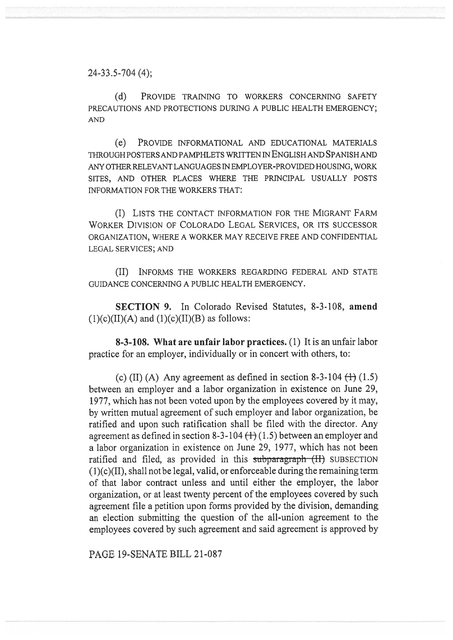24-33.5-704 (4);

(d) PROVIDE TRAINING TO WORKERS CONCERNING SAFETY PRECAUTIONS AND PROTECTIONS DURING A PUBLIC HEALTH EMERGENCY; AND

(e) PROVIDE INFORMATIONAL AND EDUCATIONAL MATERIALS THROUGH POSTERS AND PAMPHLETS WRITTEN IN ENGLISH AND SPANISH AND ANY OTHER RELEVANT LANGUAGES IN EMPLOYER-PROVIDED HOUSING, WORK SITES, AND OTHER PLACES WHERE THE PRINCIPAL USUALLY POSTS INFORMATION FOR THE WORKERS THAT:

(I) LISTS THE CONTACT INFORMATION FOR THE MIGRANT FARM WORKER DIVISION OF COLORADO LEGAL SERVICES, OR ITS SUCCESSOR ORGANIZATION, WHERE A WORKER MAY RECEIVE FREE AND CONFIDENTIAL LEGAL SERVICES; AND

(II) INFORMS THE WORKERS REGARDING FEDERAL AND STATE GUIDANCE CONCERNING A PUBLIC HEALTH EMERGENCY.

SECTION 9. In Colorado Revised Statutes, 8-3-108, amend  $(1)(c)(II)(A)$  and  $(1)(c)(II)(B)$  as follows:

8-3-108. What are unfair labor practices. (1) It is an unfair labor practice for an employer, individually or in concert with others, to:

(c) (II) (A) Any agreement as defined in section 8-3-104  $(1)$  (1.5) between an employer and a labor organization in existence on June 29, 1977, which has not been voted upon by the employees covered by it may, by written mutual agreement of such employer and labor organization, be ratified and upon such ratification shall be filed with the director. Any agreement as defined in section 8-3-104  $(1)$  (1.5) between an employer and a labor organization in existence on June 29, 1977, which has not been ratified and filed, as provided in this subparagraph (II) SUBSECTION  $(1)(c)(II)$ , shall not be legal, valid, or enforceable during the remaining term of that labor contract unless and until either the employer, the labor organization, or at least twenty percent of the employees covered by such agreement file a petition upon forms provided by the division, demanding an election submitting the question of the all-union agreement to the employees covered by such agreement and said agreement is approved by

PAGE 19-SENATE BILL 21-087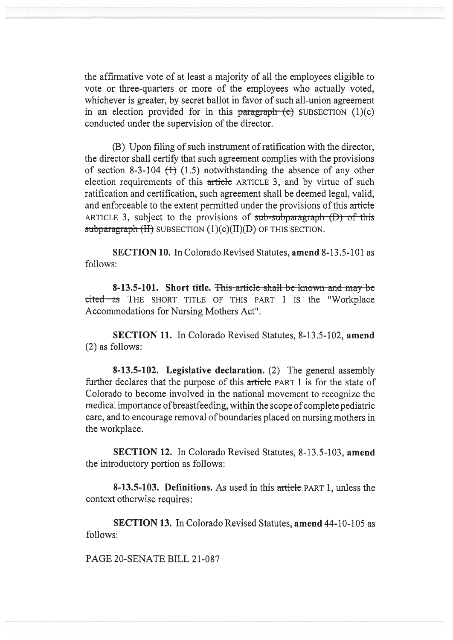the affirmative vote of at least a majority of all the employees eligible to vote or three-quarters or more of the employees who actually voted, whichever is greater, by secret ballot in favor of such all-union agreement in an election provided for in this paragraph  $(c)$  SUBSECTION  $(1)(c)$ conducted under the supervision of the director.

(B) Upon filing of such instrument of ratification with the director, the director shall certify that such agreement complies with the provisions of section 8-3-104  $(1)$  (1.5) notwithstanding the absence of any other election requirements of this article ARTICLE 3, and by virtue of such ratification and certification, such agreement shall be deemed legal, valid, and enforceable to the extent permitted under the provisions of this article ARTICLE 3, subject to the provisions of  $sub-subparagnab$  (D) of this  $subparam<sub>H</sub>(H)$  SUBSECTION (1)(c)(II)(D) OF THIS SECTION.

SECTION 10. In Colorado Revised Statutes, amend 8-13.5-101 as follows:

8-13.5-101. Short title. This article shall be known and may be cited as THE SHORT TITLE OF THIS PART 1 IS the "Workplace Accommodations for Nursing Mothers Act".

SECTION 11. In Colorado Revised Statutes, 8-13.5-102, amend (2) as follows:

8-13.5-102. Legislative declaration. (2) The general assembly further declares that the purpose of this article PART 1 is for the state of Colorado to become involved in the national movement to recognize the medical importance of breastfeeding, within the scope of complete pediatric care, and to encourage removal of boundaries placed on nursing mothers in the workplace.

SECTION 12. In Colorado Revised Statutes, 8-13.5-103, amend the introductory portion as follows:

8-13.5-103. Definitions. As used in this article PART 1, unless the context otherwise requires:

SECTION 13. In Colorado Revised Statutes, amend 44-10-105 as follows:

PAGE 20-SENATE BILL 21-087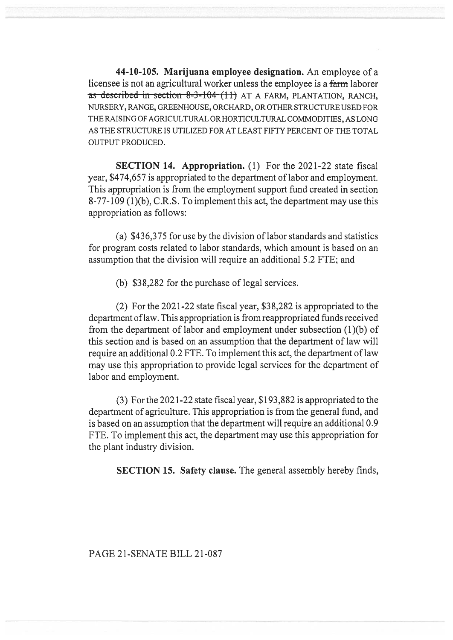44-10-105. Marijuana employee designation. An employee of a licensee is not an agricultural worker unless the employee is a farm laborer as described in section 8-3-104  $(11)$  AT A FARM, PLANTATION, RANCH, NURSERY, RANGE, GREENHOUSE, ORCHARD, OR OTHER STRUCTURE USED FOR THE RAISING OF AGRICULTURAL OR HORTICULTURAL COMMODITIES, AS LONG AS THE STRUCTURE IS UTILIZED FOR AT LEAST FIFTY PERCENT OF THE TOTAL OUTPUT PRODUCED.

SECTION 14. Appropriation. (1) For the 2021-22 state fiscal year, \$474,657 is appropriated to the department of labor and employment. This appropriation is from the employment support fund created in section 8-77-109 (1)(b), C.R.S. To implement this act, the department may use this appropriation as follows:

(a) \$436,375 for use by the division of labor standards and statistics for program costs related to labor standards, which amount is based on an assumption that the division will require an additional 5.2 FTE; and

(b) \$38,282 for the purchase of legal services.

(2) For the 2021-22 state fiscal year, \$38,282 is appropriated to the department of law. This appropriation is from reappropriated funds received from the department of labor and employment under subsection (1)(b) of this section and is based on an assumption that the department of law will require an additional 0.2 FTE. To implement this act, the department of law may use this appropriation to provide legal services for the department of labor and employment.

(3) For the 2021-22 state fiscal year, \$193,882 is appropriated to the department of agriculture. This appropriation is from the general fund, and is based on an assumption that the department will require an additional 0.9 FTE. To implement this act, the department may use this appropriation for the plant industry division.

SECTION 15. Safety clause. The general assembly hereby finds,

## PAGE 21-SENATE BILL 21-087